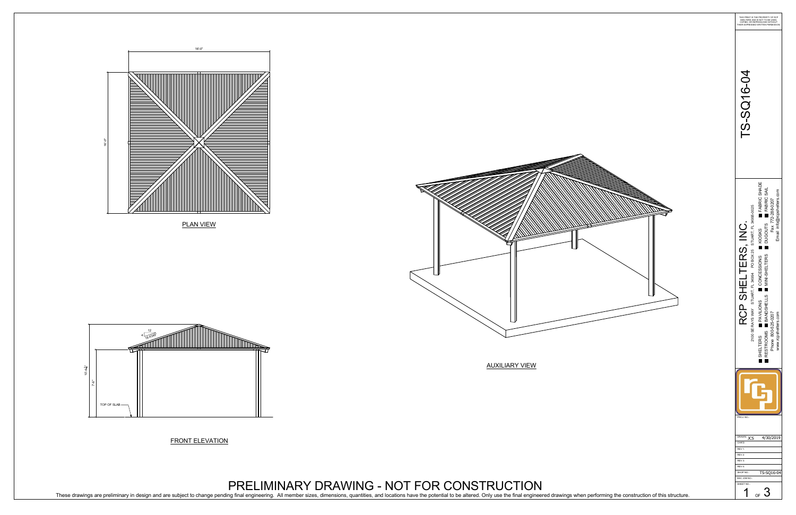FRONT ELEVATION

PLAN VIEW





# PRELIMINARY DRAWING - NOT FOR CONSTRUCTION

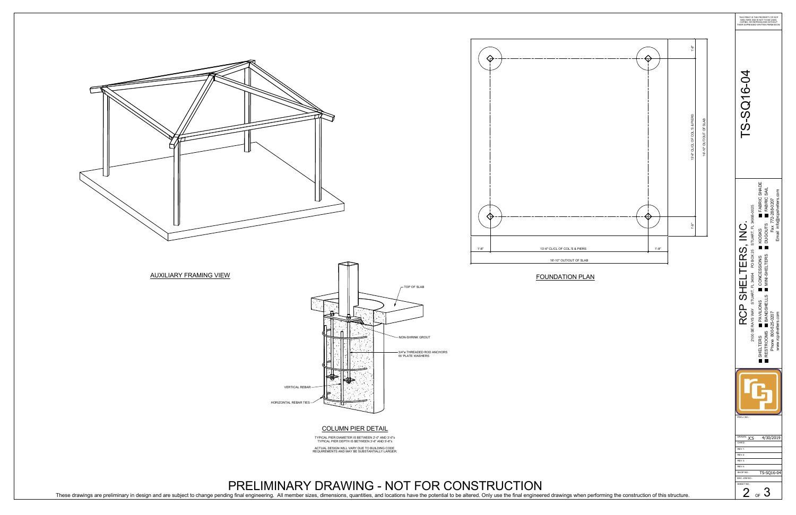# COLUMN PIER DETAIL

TYPICAL PIER DIAMETER IS BETWEEN 2'-0" AND 3'-0" TYPICAL PIER DEPTH IS BETWEEN 3'-6" AND 5'-6" ACTUAL DESIGN WILL VARY DUE TO BUILDING CODE REQUIREMENTS AND MAY BE SUBSTANTIALLY LARGER.



PRELIMINARY DRAWING - NOT FOR CONSTRUCTION These drawings are preliminary in design and are subject to change pending final engineering. All member sizes, dimensions, quantities, and locations have the potential to be altered. Only use the final engineered drawings